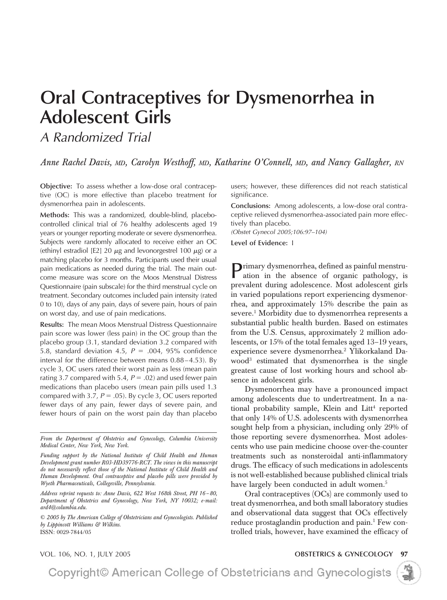# **Oral Contraceptives for Dysmenorrhea in Adolescent Girls**

*A Randomized Trial*

*Anne Rachel Davis, MD, Carolyn Westhoff, MD, Katharine O'Connell, MD, and Nancy Gallagher, RN*

**Objective:** To assess whether a low-dose oral contraceptive (OC) is more effective than placebo treatment for dysmenorrhea pain in adolescents.

**Methods:** This was a randomized, double-blind, placebocontrolled clinical trial of 76 healthy adolescents aged 19 years or younger reporting moderate or severe dysmenorrhea. Subjects were randomly allocated to receive either an OC (ethinyl estradiol [E2] 20  $\mu$ g and levonorgestrel 100  $\mu$ g) or a matching placebo for 3 months. Participants used their usual pain medications as needed during the trial. The main outcome measure was score on the Moos Menstrual Distress Questionnaire (pain subscale) for the third menstrual cycle on treatment. Secondary outcomes included pain intensity (rated 0 to 10), days of any pain, days of severe pain, hours of pain on worst day, and use of pain medications.

**Results:** The mean Moos Menstrual Distress Questionnaire pain score was lower (less pain) in the OC group than the placebo group (3.1, standard deviation 3.2 compared with 5.8, standard deviation 4.5,  $P = .004$ , 95% confidence interval for the difference between means 0.88-4.53). By cycle 3, OC users rated their worst pain as less (mean pain rating 3.7 compared with 5.4,  $P = .02$ ) and used fewer pain medications than placebo users (mean pain pills used 1.3 compared with 3.7,  $P = .05$ ). By cycle 3, OC users reported fewer days of any pain, fewer days of severe pain, and fewer hours of pain on the worst pain day than placebo

*From the Department of Obstetrics and Gynecology, Columbia University Medical Center, New York, New York.*

*Funding support by the National Institute of Child Health and Human Development grant number R03-HD39776-RCT. The views in this manuscript do not necessarily reflect those of the National Institute of Child Health and Human Development. Oral contraceptive and placebo pills were provided by Wyeth Pharmaceuticals, Collegeville, Pennsylvania.*

*Address reprint requests to: Anne Davis, 622 West 168th Street, PH 16 – 80, Department of Obstetrics and Gynecology, New York, NY 10032; e-mail: ard4@columbia.edu.*

*© 2005 by The American College of Obstetricians and Gynecologists. Published by Lippincott Williams & Wilkins.* ISSN: 0029-7844/05

users; however, these differences did not reach statistical significance.

**Conclusions:** Among adolescents, a low-dose oral contraceptive relieved dysmenorrhea-associated pain more effectively than placebo.

*(Obstet Gynecol 2005;106:97–104)*

**Level of Evidence:** I

Primary dysmenorrhea, defined as painful menstruation in the absence of organic pathology, is prevalent during adolescence. Most adolescent girls in varied populations report experiencing dysmenorrhea, and approximately 15% describe the pain as severe.<sup>1</sup> Morbidity due to dysmenorrhea represents a substantial public health burden. Based on estimates from the U.S. Census, approximately 2 million adolescents, or 15% of the total females aged 13–19 years, experience severe dysmenorrhea.<sup>2</sup> Ylikorkaland Dawood3 estimated that dysmenorrhea is the single greatest cause of lost working hours and school absence in adolescent girls.

Dysmenorrhea may have a pronounced impact among adolescents due to undertreatment. In a national probability sample, Klein and Litt<sup>4</sup> reported that only 14% of U.S. adolescents with dysmenorrhea sought help from a physician, including only 29% of those reporting severe dysmenorrhea. Most adolescents who use pain medicine choose over-the-counter treatments such as nonsteroidal anti-inflammatory drugs. The efficacy of such medications in adolescents is not well-established because published clinical trials have largely been conducted in adult women.<sup>5</sup>

Oral contraceptives (OCs) are commonly used to treat dysmenorrhea, and both small laboratory studies and observational data suggest that OCs effectively reduce prostaglandin production and pain.<sup>1</sup> Few controlled trials, however, have examined the efficacy of

VOL. 106, NO. 1, JULY 2005 **OBSTETRICS & GYNECOLOGY 97**

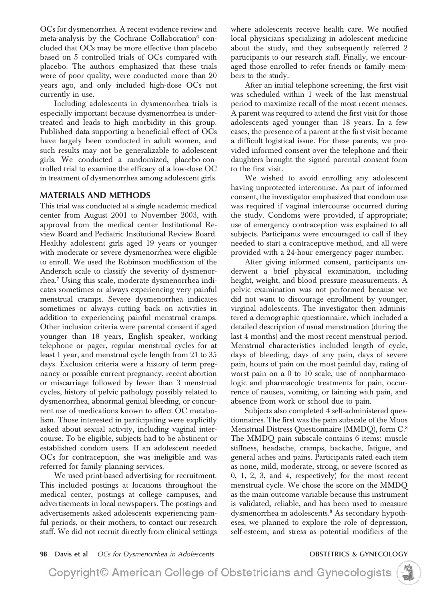OCs for dysmenorrhea. A recent evidence review and meta-analysis by the Cochrane Collaboration $6$  concluded that OCs may be more effective than placebo based on 5 controlled trials of OCs compared with placebo. The authors emphasized that these trials were of poor quality, were conducted more than 20 years ago, and only included high-dose OCs not currently in use.

Including adolescents in dysmenorrhea trials is especially important because dysmenorrhea is undertreated and leads to high morbidity in this group. Published data supporting a beneficial effect of OCs have largely been conducted in adult women, and such results may not be generalizable to adolescent girls. We conducted a randomized, placebo-controlled trial to examine the efficacy of a low-dose OC in treatment of dysmenorrhea among adolescent girls.

## **MATERIALS AND METHODS**

This trial was conducted at a single academic medical center from August 2001 to November 2003, with approval from the medical center Institutional Review Board and Pediatric Institutional Review Board. Healthy adolescent girls aged 19 years or younger with moderate or severe dysmenorrhea were eligible to enroll. We used the Robinson modification of the Andersch scale to classify the severity of dysmenorrhea.7 Using this scale, moderate dysmenorrhea indicates sometimes or always experiencing very painful menstrual cramps. Severe dysmenorrhea indicates sometimes or always cutting back on activities in addition to experiencing painful menstrual cramps. Other inclusion criteria were parental consent if aged younger than 18 years, English speaker, working telephone or pager, regular menstrual cycles for at least 1 year, and menstrual cycle length from 21 to 35 days. Exclusion criteria were a history of term pregnancy or possible current pregnancy, recent abortion or miscarriage followed by fewer than 3 menstrual cycles, history of pelvic pathology possibly related to dysmenorrhea, abnormal genital bleeding, or concurrent use of medications known to affect OC metabolism. Those interested in participating were explicitly asked about sexual activity, including vaginal intercourse. To be eligible, subjects had to be abstinent or established condom users. If an adolescent needed OCs for contraception, she was ineligible and was referred for family planning services.

We used print-based advertising for recruitment. This included postings at locations throughout the medical center, postings at college campuses, and advertisements in local newspapers. The postings and advertisements asked adolescents experiencing painful periods, or their mothers, to contact our research staff. We did not recruit directly from clinical settings

where adolescents receive health care. We notified local physicians specializing in adolescent medicine about the study, and they subsequently referred 2 participants to our research staff. Finally, we encouraged those enrolled to refer friends or family members to the study.

After an initial telephone screening, the first visit was scheduled within 1 week of the last menstrual period to maximize recall of the most recent menses. A parent was required to attend the first visit for those adolescents aged younger than 18 years. In a few cases, the presence of a parent at the first visit became a difficult logistical issue. For these parents, we provided informed consent over the telephone and their daughters brought the signed parental consent form to the first visit.

We wished to avoid enrolling any adolescent having unprotected intercourse. As part of informed consent, the investigator emphasized that condom use was required if vaginal intercourse occurred during the study. Condoms were provided, if appropriate; use of emergency contraception was explained to all subjects. Participants were encouraged to call if they needed to start a contraceptive method, and all were provided with a 24-hour emergency pager number.

After giving informed consent, participants underwent a brief physical examination, including height, weight, and blood pressure measurements. A pelvic examination was not performed because we did not want to discourage enrollment by younger, virginal adolescents. The investigator then administered a demographic questionnaire, which included a detailed description of usual menstruation (during the last 4 months) and the most recent menstrual period. Menstrual characteristics included length of cycle, days of bleeding, days of any pain, days of severe pain, hours of pain on the most painful day, rating of worst pain on a 0 to 10 scale, use of nonpharmacologic and pharmacologic treatments for pain, occurrence of nausea, vomiting, or fainting with pain, and absence from work or school due to pain.

Subjects also completed 4 self-administered questionnaires. The first was the pain subscale of the Moos Menstrual Distress Questionnaire (MMDQ), form C.8 The MMDQ pain subscale contains 6 items: muscle stiffness, headache, cramps, backache, fatigue, and general aches and pains. Participants rated each item as none, mild, moderate, strong, or severe (scored as 0, 1, 2, 3, and 4, respectively) for the most recent menstrual cycle. We chose the score on the MMDQ as the main outcome variable because this instrument is validated, reliable, and has been used to measure dysmenorrhea in adolescents.<sup>8</sup> As secondary hypotheses, we planned to explore the role of depression, self-esteem, and stress as potential modifiers of the

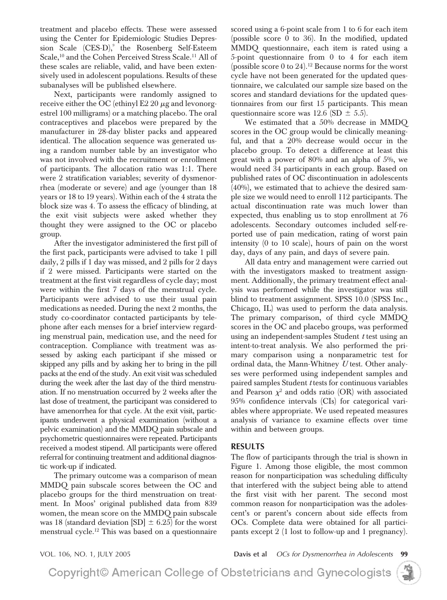treatment and placebo effects. These were assessed using the Center for Epidemiologic Studies Depression Scale (CES-D),<sup>9</sup> the Rosenberg Self-Esteem Scale,<sup>10</sup> and the Cohen Perceived Stress Scale.<sup>11</sup> All of these scales are reliable, valid, and have been extensively used in adolescent populations. Results of these subanalyses will be published elsewhere.

Next, participants were randomly assigned to receive either the OC (ethinyl E2 20  $\mu$ g and levonorgestrel 100 milligrams) or a matching placebo. The oral contraceptives and placebos were prepared by the manufacturer in 28-day blister packs and appeared identical. The allocation sequence was generated using a random number table by an investigator who was not involved with the recruitment or enrollment of participants. The allocation ratio was 1:1. There were 2 stratification variables; severity of dysmenorrhea (moderate or severe) and age (younger than 18 years or 18 to 19 years). Within each of the 4 strata the block size was 4. To assess the efficacy of blinding, at the exit visit subjects were asked whether they thought they were assigned to the OC or placebo group.

After the investigator administered the first pill of the first pack, participants were advised to take 1 pill daily, 2 pills if 1 day was missed, and 2 pills for 2 days if 2 were missed. Participants were started on the treatment at the first visit regardless of cycle day; most were within the first 7 days of the menstrual cycle. Participants were advised to use their usual pain medications as needed. During the next 2 months, the study co-coordinator contacted participants by telephone after each menses for a brief interview regarding menstrual pain, medication use, and the need for contraception. Compliance with treatment was assessed by asking each participant if she missed or skipped any pills and by asking her to bring in the pill packs at the end of the study. An exit visit was scheduled during the week after the last day of the third menstruation. If no menstruation occurred by 2 weeks after the last dose of treatment, the participant was considered to have amenorrhea for that cycle. At the exit visit, participants underwent a physical examination (without a pelvic examination) and the MMDQ pain subscale and psychometric questionnaires were repeated. Participants received a modest stipend. All participants were offered referral for continuing treatment and additional diagnostic work-up if indicated.

The primary outcome was a comparison of mean MMDQ pain subscale scores between the OC and placebo groups for the third menstruation on treatment. In Moos' original published data from 839 women, the mean score on the MMDQ pain subscale was 18 (standard deviation  $[SD] \pm 6.25$ ) for the worst menstrual cycle.12 This was based on a questionnaire

scored using a 6-point scale from 1 to 6 for each item (possible score 0 to 36). In the modified, updated MMDQ questionnaire, each item is rated using a 5-point questionnaire from 0 to 4 for each item (possible score 0 to  $24$ ).<sup>12</sup> Because norms for the worst cycle have not been generated for the updated questionnaire, we calculated our sample size based on the scores and standard deviations for the updated questionnaires from our first 15 participants. This mean questionnaire score was  $12.6$  (SD  $\pm$  5.5).

We estimated that a 50% decrease in MMDQ scores in the OC group would be clinically meaningful, and that a 20% decrease would occur in the placebo group. To detect a difference at least this great with a power of 80% and an alpha of 5%, we would need 34 participants in each group. Based on published rates of OC discontinuation in adolescents (40%), we estimated that to achieve the desired sample size we would need to enroll 112 participants. The actual discontinuation rate was much lower than expected, thus enabling us to stop enrollment at 76 adolescents. Secondary outcomes included self-reported use of pain medication, rating of worst pain intensity (0 to 10 scale), hours of pain on the worst day, days of any pain, and days of severe pain.

All data entry and management were carried out with the investigators masked to treatment assignment. Additionally, the primary treatment effect analysis was performed while the investigator was still blind to treatment assignment. SPSS 10.0 (SPSS Inc., Chicago, IL) was used to perform the data analysis. The primary comparison, of third cycle MMDQ scores in the OC and placebo groups, was performed using an independent-samples Student *t* test using an intent-to-treat analysis. We also performed the primary comparison using a nonparametric test for ordinal data, the Mann-Whitney *U* test. Other analyses were performed using independent samples and paired samples Student *t* tests for continuous variables and Pearson  $\chi^2$  and odds ratio (OR) with associated 95% confidence intervals (CIs) for categorical variables where appropriate. We used repeated measures analysis of variance to examine effects over time within and between groups.

## **RESULTS**

The flow of participants through the trial is shown in Figure 1. Among those eligible, the most common reason for nonparticipation was scheduling difficulty that interfered with the subject being able to attend the first visit with her parent. The second most common reason for nonparticipation was the adolescent's or parent's concern about side effects from OCs. Complete data were obtained for all participants except 2 (1 lost to follow-up and 1 pregnancy).

VOL. 106, NO. 1, JULY 2005 **Davis et al** *OCs for Dysmenorrhea in Adolescents* **99**

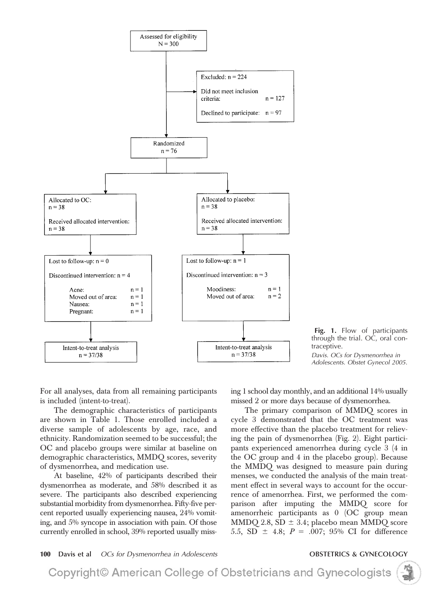



*Davis. OCs for Dysmenorrhea in Adolescents. Obstet Gynecol 2005.*

For all analyses, data from all remaining participants is included (intent-to-treat).

The demographic characteristics of participants are shown in Table 1. Those enrolled included a diverse sample of adolescents by age, race, and ethnicity. Randomization seemed to be successful; the OC and placebo groups were similar at baseline on demographic characteristics, MMDQ scores, severity of dysmenorrhea, and medication use.

At baseline, 42% of participants described their dysmenorrhea as moderate, and 58% described it as severe. The participants also described experiencing substantial morbidity from dysmenorrhea. Fifty-five percent reported usually experiencing nausea, 24% vomiting, and 5% syncope in association with pain. Of those currently enrolled in school, 39% reported usually missing 1 school day monthly, and an additional 14% usually missed 2 or more days because of dysmenorrhea.

The primary comparison of MMDQ scores in cycle 3 demonstrated that the OC treatment was more effective than the placebo treatment for relieving the pain of dysmenorrhea (Fig. 2). Eight participants experienced amenorrhea during cycle 3 (4 in the OC group and 4 in the placebo group). Because the MMDQ was designed to measure pain during menses, we conducted the analysis of the main treatment effect in several ways to account for the occurrence of amenorrhea. First, we performed the comparison after imputing the MMDQ score for amenorrheic participants as 0 (OC group mean  $\mathrm{MMDQ}$  2.8, SD  $\pm$  3.4; placebo mean  $\mathrm{MMDQ}$  score 5.5, SD  $\pm$  4.8;  $P = .007$ ; 95% CI for difference

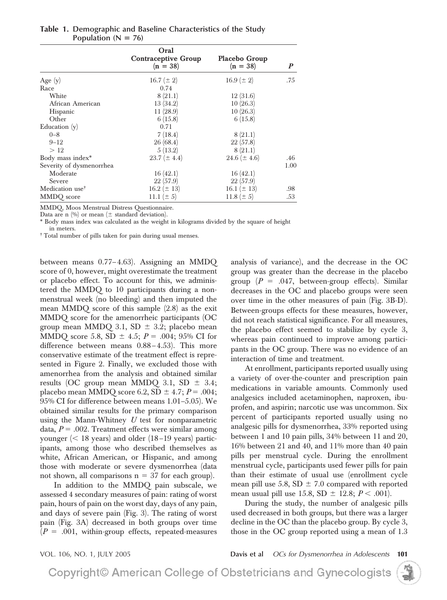|                             | Oral<br><b>Contraceptive Group</b><br>$(n = 38)$ | Placebo Group<br>$(n = 38)$ | P    |
|-----------------------------|--------------------------------------------------|-----------------------------|------|
| Age $(y)$                   | 16.7 $(\pm 2)$                                   | $16.9 (\pm 2)$              | .75  |
| Race                        | 0.74                                             |                             |      |
| White                       | 8(21.1)                                          | 12(31.6)                    |      |
| African American            | 13(34.2)                                         | 10(26.3)                    |      |
| Hispanic                    | 11(28.9)                                         | 10(26.3)                    |      |
| Other                       | 6(15.8)                                          | 6(15.8)                     |      |
| Education $(y)$             | 0.71                                             |                             |      |
| $0 - 8$                     | 7(18.4)                                          | 8(21.1)                     |      |
| $9 - 12$                    | 26(68.4)                                         | 22(57.8)                    |      |
| >12                         | 5(13.2)                                          | 8(21.1)                     |      |
| Body mass index*            | $23.7 (\pm 4.4)$                                 | 24.6 ( $\pm$ 4.6)           | .46  |
| Severity of dysmenorrhea    |                                                  |                             | 1.00 |
| Moderate                    | 16(42.1)                                         | 16(42.1)                    |      |
| Severe                      | 22(57.9)                                         | 22(57.9)                    |      |
| Medication use <sup>†</sup> | $16.2 (\pm 13)$                                  | 16.1 ( $\pm$ 13)            | .98  |
| MMDQ score                  | 11.1 $(\pm 5)$                                   | 11.8 ( $\pm$ 5)             | .53  |

**Table 1. Demographic and Baseline Characteristics of the Study** Population  $(N = 76)$ 

MMDQ, Moos Menstrual Distress Questionnaire.

Data are n  $(\%)$  or mean ( $\pm$  standard deviation).

\* Body mass index was calculated as the weight in kilograms divided by the square of height in meters.

† Total number of pills taken for pain during usual menses.

between means 0.77-4.63). Assigning an MMDQ score of 0, however, might overestimate the treatment or placebo effect. To account for this, we administered the MMDQ to 10 participants during a nonmenstrual week (no bleeding) and then imputed the mean MMDQ score of this sample (2.8) as the exit MMDQ score for the amenorrheic participants (OC group mean MMDQ 3.1, SD  $\pm$  3.2; placebo mean MMDQ score 5.8, SD  $\pm$  4.5; *P* = .004; 95% CI for difference between means  $0.88 - 4.53$ ). This more conservative estimate of the treatment effect is represented in Figure 2. Finally, we excluded those with amenorrhea from the analysis and obtained similar results (OC group mean MMDQ 3.1, SD  $\pm$  3.4; placebo mean MMDQ score 6.2, SD  $\pm$  4.7;  $P = .004;$ 95% CI for difference between means 1.01–5.05). We obtained similar results for the primary comparison using the Mann-Whitney *U* test for nonparametric data,  $P = .002$ . Treatment effects were similar among younger  $(< 18$  years) and older  $(18-19)$  years) participants, among those who described themselves as white, African American, or Hispanic, and among those with moderate or severe dysmenorrhea (data not shown, all comparisons  $n = 37$  for each group).

In addition to the MMDQ pain subscale, we assessed 4 secondary measures of pain: rating of worst pain, hours of pain on the worst day, days of any pain, and days of severe pain (Fig. 3). The rating of worst pain (Fig. 3A) decreased in both groups over time  $(P = .001,$  within-group effects, repeated-measures analysis of variance), and the decrease in the OC group was greater than the decrease in the placebo group  $(P = .047,$  between-group effects). Similar decreases in the OC and placebo groups were seen over time in the other measures of pain (Fig. 3B-D). Between-groups effects for these measures, however, did not reach statistical significance. For all measures, the placebo effect seemed to stabilize by cycle 3, whereas pain continued to improve among participants in the OC group. There was no evidence of an interaction of time and treatment.

At enrollment, participants reported usually using a variety of over-the-counter and prescription pain medications in variable amounts. Commonly used analgesics included acetaminophen, naproxen, ibuprofen, and aspirin; narcotic use was uncommon. Six percent of participants reported usually using no analgesic pills for dysmenorrhea, 33% reported using between 1 and 10 pain pills, 34% between 11 and 20, 16% between 21 and 40, and 11% more than 40 pain pills per menstrual cycle. During the enrollment menstrual cycle, participants used fewer pills for pain than their estimate of usual use (enrollment cycle mean pill use 5.8, SD  $\pm$  7.0 compared with reported mean usual pill use  $15.8, SD = 12.8; P < .001$ ).

During the study, the number of analgesic pills used decreased in both groups, but there was a larger decline in the OC than the placebo group. By cycle 3, those in the OC group reported using a mean of 1.3

VOL. 106, NO. 1, JULY 2005 **Davis et al** *OCs for Dysmenorrhea in Adolescents* **101**

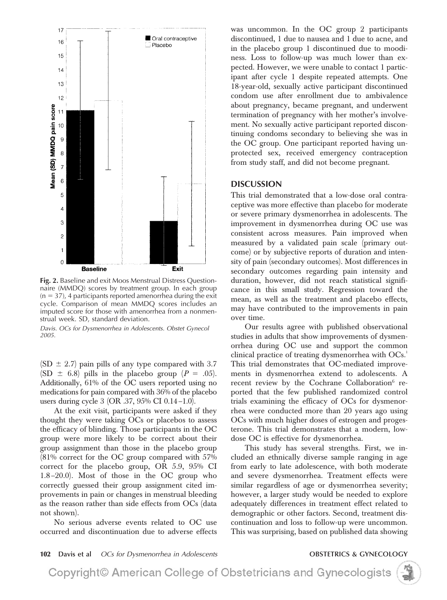

**Fig. 2.** Baseline and exit Moos Menstrual Distress Questionnaire (MMDQ) scores by treatment group. In each group  $(n = 37)$ , 4 participants reported amenorrhea during the exit cycle. Comparison of mean MMDQ scores includes an imputed score for those with amenorrhea from a nonmenstrual week. SD, standard deviation.

*Davis. OCs for Dysmenorrhea in Adolescents. Obstet Gynecol 2005.*

 $(SD \pm 2.7)$  pain pills of any type compared with 3.7  $(SD \pm 6.8)$  pills in the placebo group  $(P = .05)$ . Additionally, 61% of the OC users reported using no medications for pain compared with 36% of the placebo users during cycle 3 (OR .37, 95% CI 0.14–1.0).

At the exit visit, participants were asked if they thought they were taking OCs or placebos to assess the efficacy of blinding. Those participants in the OC group were more likely to be correct about their group assignment than those in the placebo group (81% correct for the OC group compared with 57% correct for the placebo group, OR 5.9, 95% CI 1.8 –20.0). Most of those in the OC group who correctly guessed their group assignment cited improvements in pain or changes in menstrual bleeding as the reason rather than side effects from OCs (data not shown).

No serious adverse events related to OC use occurred and discontinuation due to adverse effects was uncommon. In the OC group 2 participants discontinued, 1 due to nausea and 1 due to acne, and in the placebo group 1 discontinued due to moodiness. Loss to follow-up was much lower than expected. However, we were unable to contact 1 participant after cycle 1 despite repeated attempts. One 18-year-old, sexually active participant discontinued condom use after enrollment due to ambivalence about pregnancy, became pregnant, and underwent termination of pregnancy with her mother's involvement. No sexually active participant reported discontinuing condoms secondary to believing she was in the OC group. One participant reported having unprotected sex, received emergency contraception from study staff, and did not become pregnant.

## **DISCUSSION**

This trial demonstrated that a low-dose oral contraceptive was more effective than placebo for moderate or severe primary dysmenorrhea in adolescents. The improvement in dysmenorrhea during OC use was consistent across measures. Pain improved when measured by a validated pain scale (primary outcome) or by subjective reports of duration and intensity of pain (secondary outcomes). Most differences in secondary outcomes regarding pain intensity and duration, however, did not reach statistical significance in this small study. Regression toward the mean, as well as the treatment and placebo effects, may have contributed to the improvements in pain over time.

Our results agree with published observational studies in adults that show improvements of dysmenorrhea during OC use and support the common clinical practice of treating dysmenorrhea with OCs.<sup>1</sup> This trial demonstrates that OC-mediated improvements in dysmenorrhea extend to adolescents. A recent review by the Cochrane Collaboration $6$  reported that the few published randomized control trials examining the efficacy of OCs for dysmenorrhea were conducted more than 20 years ago using OCs with much higher doses of estrogen and progesterone. This trial demonstrates that a modern, lowdose OC is effective for dysmenorrhea.

This study has several strengths. First, we included an ethnically diverse sample ranging in age from early to late adolescence, with both moderate and severe dysmenorrhea. Treatment effects were similar regardless of age or dysmenorrhea severity; however, a larger study would be needed to explore adequately differences in treatment effect related to demographic or other factors. Second, treatment discontinuation and loss to follow-up were uncommon. This was surprising, based on published data showing

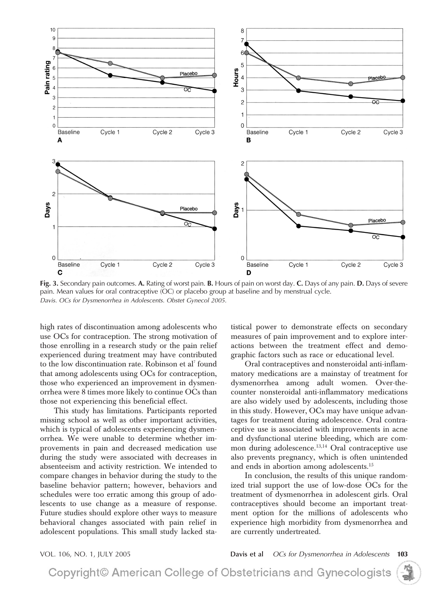

**Fig. 3.** Secondary pain outcomes. **A.** Rating of worst pain. **B.** Hours of pain on worst day. **C.** Days of any pain. **D.** Days of severe pain. Mean values for oral contraceptive (OC) or placebo group at baseline and by menstrual cycle. *Davis. OCs for Dysmenorrhea in Adolescents. Obstet Gynecol 2005.*

high rates of discontinuation among adolescents who use OCs for contraception. The strong motivation of those enrolling in a research study or the pain relief experienced during treatment may have contributed to the low discontinuation rate. Robinson et al<sup>7</sup> found that among adolescents using OCs for contraception, those who experienced an improvement in dysmenorrhea were 8 times more likely to continue OCs than those not experiencing this beneficial effect.

This study has limitations. Participants reported missing school as well as other important activities, which is typical of adolescents experiencing dysmenorrhea. We were unable to determine whether improvements in pain and decreased medication use during the study were associated with decreases in absenteeism and activity restriction. We intended to compare changes in behavior during the study to the baseline behavior pattern; however, behaviors and schedules were too erratic among this group of adolescents to use change as a measure of response. Future studies should explore other ways to measure behavioral changes associated with pain relief in adolescent populations. This small study lacked statistical power to demonstrate effects on secondary measures of pain improvement and to explore interactions between the treatment effect and demographic factors such as race or educational level.

Oral contraceptives and nonsteroidal anti-inflammatory medications are a mainstay of treatment for dysmenorrhea among adult women. Over-thecounter nonsteroidal anti-inflammatory medications are also widely used by adolescents, including those in this study. However, OCs may have unique advantages for treatment during adolescence. Oral contraceptive use is associated with improvements in acne and dysfunctional uterine bleeding, which are common during adolescence.<sup>13,14</sup> Oral contraceptive use also prevents pregnancy, which is often unintended and ends in abortion among adolescents.15

In conclusion, the results of this unique randomized trial support the use of low-dose OCs for the treatment of dysmenorrhea in adolescent girls. Oral contraceptives should become an important treatment option for the millions of adolescents who experience high morbidity from dysmenorrhea and are currently undertreated.

VOL. 106, NO. 1, JULY 2005 **Davis et al** *OCs for Dysmenorrhea in Adolescents* **103**